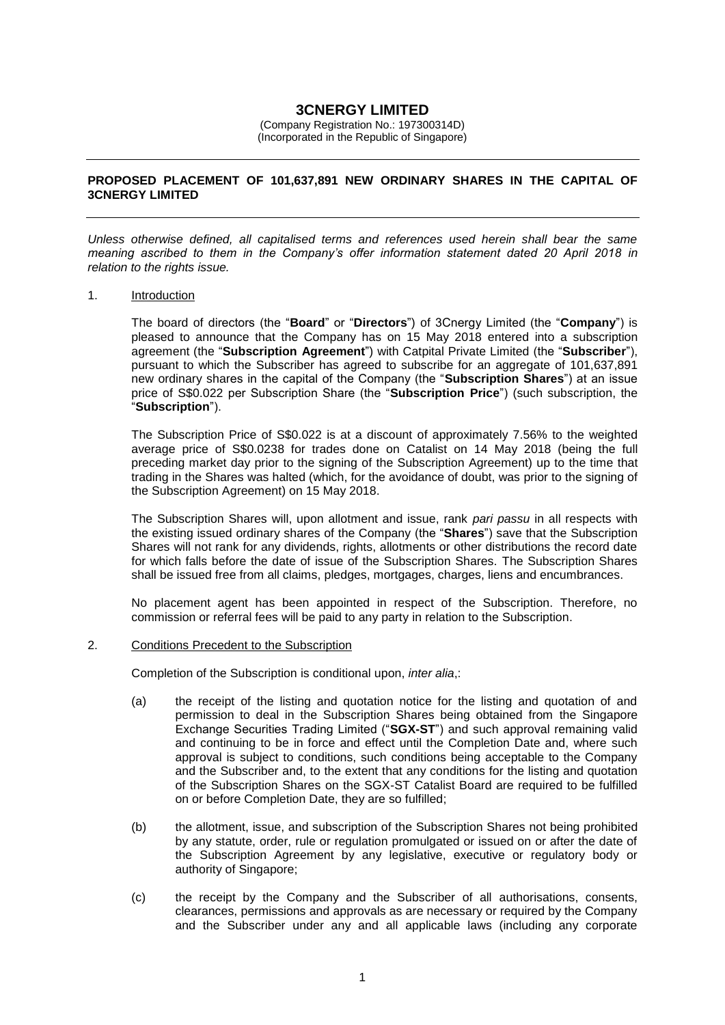# **3CNERGY LIMITED**

(Company Registration No.: 197300314D) (Incorporated in the Republic of Singapore)

## **PROPOSED PLACEMENT OF 101,637,891 NEW ORDINARY SHARES IN THE CAPITAL OF 3CNERGY LIMITED**

*Unless otherwise defined, all capitalised terms and references used herein shall bear the same meaning ascribed to them in the Company's offer information statement dated 20 April 2018 in relation to the rights issue.*

#### 1. Introduction

The board of directors (the "**Board**" or "**Directors**") of 3Cnergy Limited (the "**Company**") is pleased to announce that the Company has on 15 May 2018 entered into a subscription agreement (the "**Subscription Agreement**") with Catpital Private Limited (the "**Subscriber**"), pursuant to which the Subscriber has agreed to subscribe for an aggregate of 101,637,891 new ordinary shares in the capital of the Company (the "**Subscription Shares**") at an issue price of S\$0.022 per Subscription Share (the "**Subscription Price**") (such subscription, the "**Subscription**").

The Subscription Price of S\$0.022 is at a discount of approximately 7.56% to the weighted average price of S\$0.0238 for trades done on Catalist on 14 May 2018 (being the full preceding market day prior to the signing of the Subscription Agreement) up to the time that trading in the Shares was halted (which, for the avoidance of doubt, was prior to the signing of the Subscription Agreement) on 15 May 2018.

The Subscription Shares will, upon allotment and issue, rank *pari passu* in all respects with the existing issued ordinary shares of the Company (the "**Shares**") save that the Subscription Shares will not rank for any dividends, rights, allotments or other distributions the record date for which falls before the date of issue of the Subscription Shares. The Subscription Shares shall be issued free from all claims, pledges, mortgages, charges, liens and encumbrances.

No placement agent has been appointed in respect of the Subscription. Therefore, no commission or referral fees will be paid to any party in relation to the Subscription.

2. Conditions Precedent to the Subscription

Completion of the Subscription is conditional upon, *inter alia*,:

- (a) the receipt of the listing and quotation notice for the listing and quotation of and permission to deal in the Subscription Shares being obtained from the Singapore Exchange Securities Trading Limited ("**SGX-ST**") and such approval remaining valid and continuing to be in force and effect until the Completion Date and, where such approval is subject to conditions, such conditions being acceptable to the Company and the Subscriber and, to the extent that any conditions for the listing and quotation of the Subscription Shares on the SGX-ST Catalist Board are required to be fulfilled on or before Completion Date, they are so fulfilled;
- (b) the allotment, issue, and subscription of the Subscription Shares not being prohibited by any statute, order, rule or regulation promulgated or issued on or after the date of the Subscription Agreement by any legislative, executive or regulatory body or authority of Singapore;
- (c) the receipt by the Company and the Subscriber of all authorisations, consents, clearances, permissions and approvals as are necessary or required by the Company and the Subscriber under any and all applicable laws (including any corporate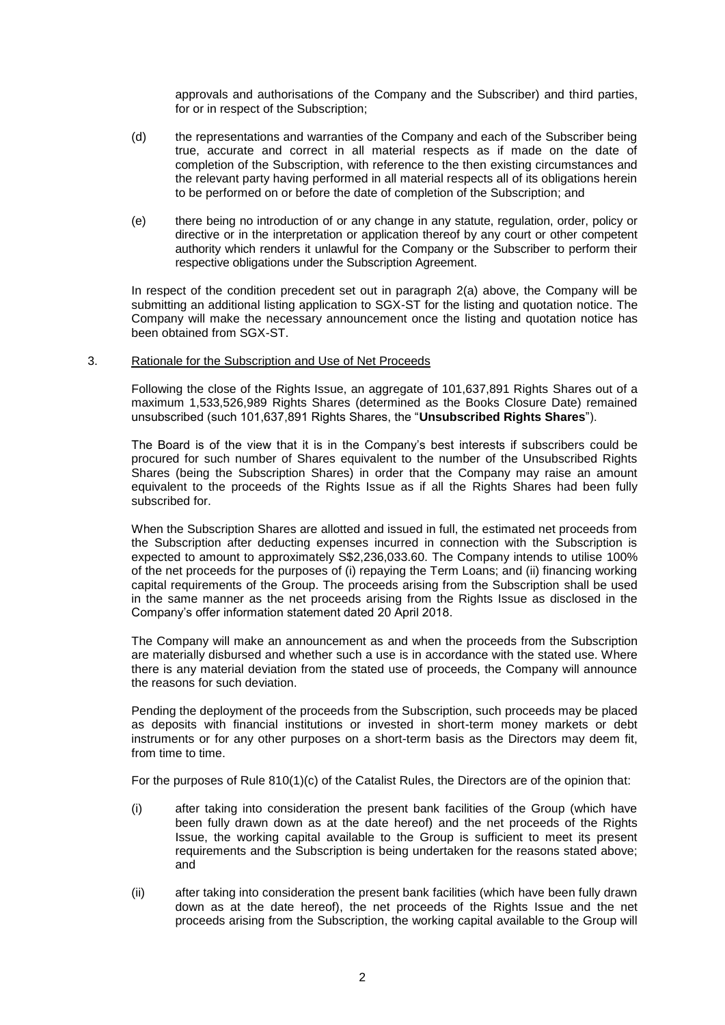approvals and authorisations of the Company and the Subscriber) and third parties, for or in respect of the Subscription;

- (d) the representations and warranties of the Company and each of the Subscriber being true, accurate and correct in all material respects as if made on the date of completion of the Subscription, with reference to the then existing circumstances and the relevant party having performed in all material respects all of its obligations herein to be performed on or before the date of completion of the Subscription; and
- (e) there being no introduction of or any change in any statute, regulation, order, policy or directive or in the interpretation or application thereof by any court or other competent authority which renders it unlawful for the Company or the Subscriber to perform their respective obligations under the Subscription Agreement.

In respect of the condition precedent set out in paragraph 2(a) above, the Company will be submitting an additional listing application to SGX-ST for the listing and quotation notice. The Company will make the necessary announcement once the listing and quotation notice has been obtained from SGX-ST.

## 3. Rationale for the Subscription and Use of Net Proceeds

Following the close of the Rights Issue, an aggregate of 101,637,891 Rights Shares out of a maximum 1,533,526,989 Rights Shares (determined as the Books Closure Date) remained unsubscribed (such 101,637,891 Rights Shares, the "**Unsubscribed Rights Shares**").

The Board is of the view that it is in the Company's best interests if subscribers could be procured for such number of Shares equivalent to the number of the Unsubscribed Rights Shares (being the Subscription Shares) in order that the Company may raise an amount equivalent to the proceeds of the Rights Issue as if all the Rights Shares had been fully subscribed for.

When the Subscription Shares are allotted and issued in full, the estimated net proceeds from the Subscription after deducting expenses incurred in connection with the Subscription is expected to amount to approximately S\$2,236,033.60. The Company intends to utilise 100% of the net proceeds for the purposes of (i) repaying the Term Loans; and (ii) financing working capital requirements of the Group. The proceeds arising from the Subscription shall be used in the same manner as the net proceeds arising from the Rights Issue as disclosed in the Company's offer information statement dated 20 April 2018.

The Company will make an announcement as and when the proceeds from the Subscription are materially disbursed and whether such a use is in accordance with the stated use. Where there is any material deviation from the stated use of proceeds, the Company will announce the reasons for such deviation.

Pending the deployment of the proceeds from the Subscription, such proceeds may be placed as deposits with financial institutions or invested in short-term money markets or debt instruments or for any other purposes on a short-term basis as the Directors may deem fit, from time to time.

For the purposes of Rule 810(1)(c) of the Catalist Rules, the Directors are of the opinion that:

- (i) after taking into consideration the present bank facilities of the Group (which have been fully drawn down as at the date hereof) and the net proceeds of the Rights Issue, the working capital available to the Group is sufficient to meet its present requirements and the Subscription is being undertaken for the reasons stated above; and
- (ii) after taking into consideration the present bank facilities (which have been fully drawn down as at the date hereof), the net proceeds of the Rights Issue and the net proceeds arising from the Subscription, the working capital available to the Group will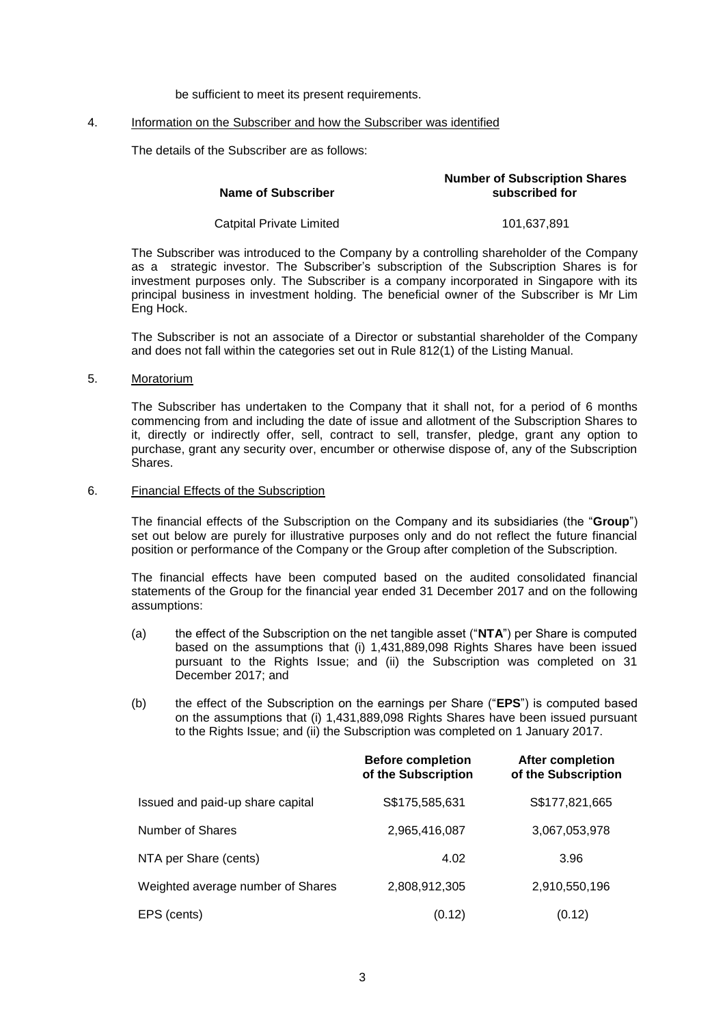be sufficient to meet its present requirements.

#### 4. Information on the Subscriber and how the Subscriber was identified

The details of the Subscriber are as follows:

| Name of Subscriber       | <b>Number of Subscription Shares</b><br>subscribed for |  |
|--------------------------|--------------------------------------------------------|--|
| Catpital Private Limited | 101.637.891                                            |  |

The Subscriber was introduced to the Company by a controlling shareholder of the Company as a strategic investor. The Subscriber's subscription of the Subscription Shares is for investment purposes only. The Subscriber is a company incorporated in Singapore with its principal business in investment holding. The beneficial owner of the Subscriber is Mr Lim Eng Hock.

The Subscriber is not an associate of a Director or substantial shareholder of the Company and does not fall within the categories set out in Rule 812(1) of the Listing Manual.

5. Moratorium

The Subscriber has undertaken to the Company that it shall not, for a period of 6 months commencing from and including the date of issue and allotment of the Subscription Shares to it, directly or indirectly offer, sell, contract to sell, transfer, pledge, grant any option to purchase, grant any security over, encumber or otherwise dispose of, any of the Subscription Shares.

6. Financial Effects of the Subscription

The financial effects of the Subscription on the Company and its subsidiaries (the "**Group**") set out below are purely for illustrative purposes only and do not reflect the future financial position or performance of the Company or the Group after completion of the Subscription.

The financial effects have been computed based on the audited consolidated financial statements of the Group for the financial year ended 31 December 2017 and on the following assumptions:

- (a) the effect of the Subscription on the net tangible asset ("**NTA**") per Share is computed based on the assumptions that (i) 1,431,889,098 Rights Shares have been issued pursuant to the Rights Issue; and (ii) the Subscription was completed on 31 December 2017; and
- (b) the effect of the Subscription on the earnings per Share ("**EPS**") is computed based on the assumptions that (i) 1,431,889,098 Rights Shares have been issued pursuant to the Rights Issue; and (ii) the Subscription was completed on 1 January 2017.

|                                   | <b>Before completion</b><br>of the Subscription | <b>After completion</b><br>of the Subscription |
|-----------------------------------|-------------------------------------------------|------------------------------------------------|
| Issued and paid-up share capital  | S\$175,585,631                                  | S\$177,821,665                                 |
| Number of Shares                  | 2,965,416,087                                   | 3,067,053,978                                  |
| NTA per Share (cents)             | 4.02                                            | 3.96                                           |
| Weighted average number of Shares | 2,808,912,305                                   | 2,910,550,196                                  |
| EPS (cents)                       | (0.12)                                          | (0.12)                                         |